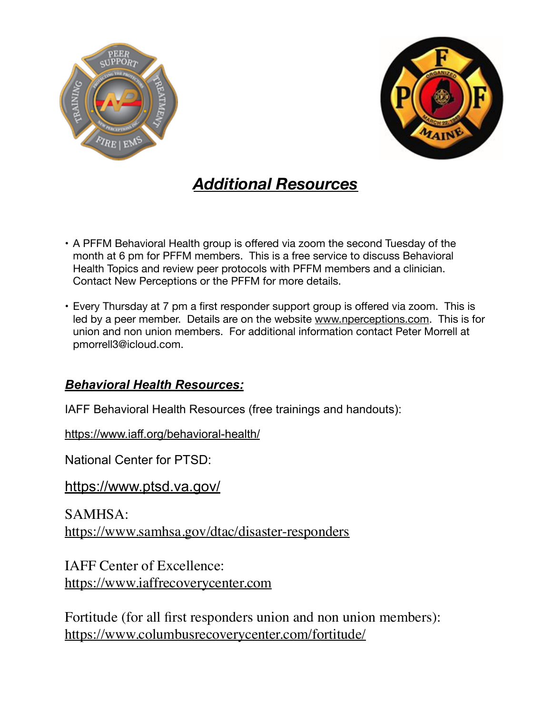



## *Additional Resources*

- A PFFM Behavioral Health group is offered via zoom the second Tuesday of the month at 6 pm for PFFM members. This is a free service to discuss Behavioral Health Topics and review peer protocols with PFFM members and a clinician. Contact New Perceptions or the PFFM for more details.
- Every Thursday at 7 pm a first responder support group is offered via zoom. This is led by a peer member. Details are on the website [www.nperceptions.com](http://www.nperceptions.com). This is for union and non union members. For additional information contact Peter Morrell at pmorrell3@icloud.com.

## *Behavioral Health Resources:*

IAFF Behavioral Health Resources (free trainings and handouts):

<https://www.iaff.org/behavioral-health/>

National Center for PTSD:

<https://www.ptsd.va.gov/>

SAMHSA: <https://www.samhsa.gov/dtac/disaster-responders>

IAFF Center of Excellence: <https://www.iaffrecoverycenter.com>

Fortitude (for all first responders union and non union members): <https://www.columbusrecoverycenter.com/fortitude/>